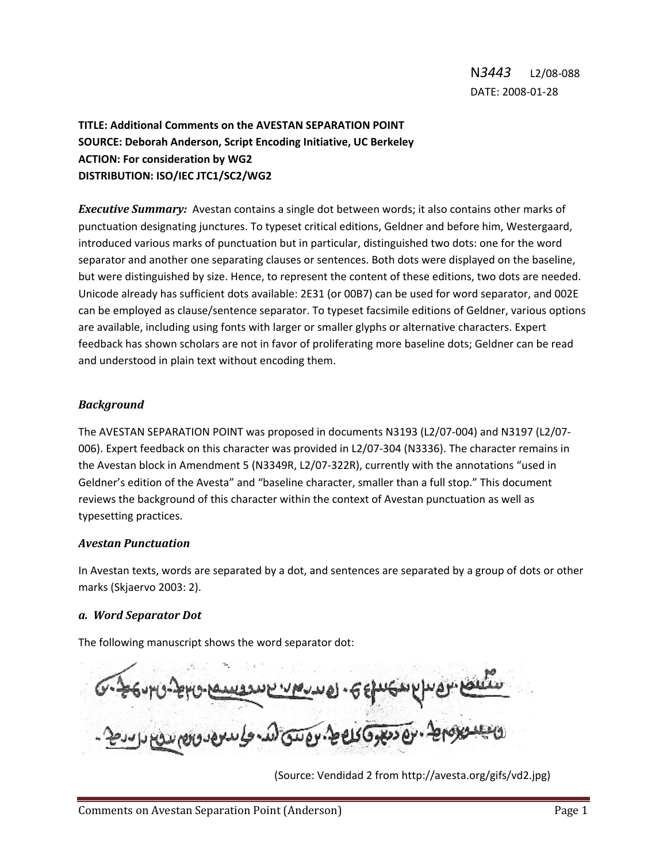# **TITLE: Additional Comments on the AVESTAN SEPARATION POINT SOURCE: Deborah Anderson, Script Encoding Initiative, UC Berkeley ACTION: For consideration by WG2 DISTRIBUTION: ISO/IEC JTC1/SC2/WG2**

*Executive Summary:* Avestan contains a single dot between words; it also contains other marks of punctuation designating junctures. To typeset critical editions, Geldner and before him, Westergaard, introduced various marks of punctuation but in particular, distinguished two dots: one for the word separator and another one separating clauses or sentences. Both dots were displayed on the baseline, but were distinguished by size. Hence, to represent the content of these editions, two dots are needed. Unicode already has sufficient dots available: 2E31 (or 00B7) can be used for word separator, and 002E can be employed as clause/sentence separator. To typeset facsimile editions of Geldner, various options are available, including using fonts with larger or smaller glyphs or alternative characters. Expert feedback has shown scholars are not in favor of proliferating more baseline dots; Geldner can be read and understood in plain text without encoding them.

### *Background*

The AVESTAN SEPARATION POINT was proposed in documents N3193 (L2/07‐004) and N3197 (L2/07‐ 006). Expert feedback on this character was provided in L2/07‐304 (N3336). The character remains in the Avestan block in Amendment 5 (N3349R, L2/07‐322R), currently with the annotations "used in Geldner's edition of the Avesta" and "baseline character, smaller than a full stop." This document reviews the background of this character within the context of Avestan punctuation as well as typesetting practices.

#### *Avestan Punctuation*

In Avestan texts, words are separated by a dot, and sentences are separated by a group of dots or other marks (Skjaervo 2003: 2).

#### *a. Word Separator Dot*

The following manuscript shows the word separator dot:

<sup>(</sup>Source: Vendidad 2 from http://avesta.org/gifs/vd2.jpg)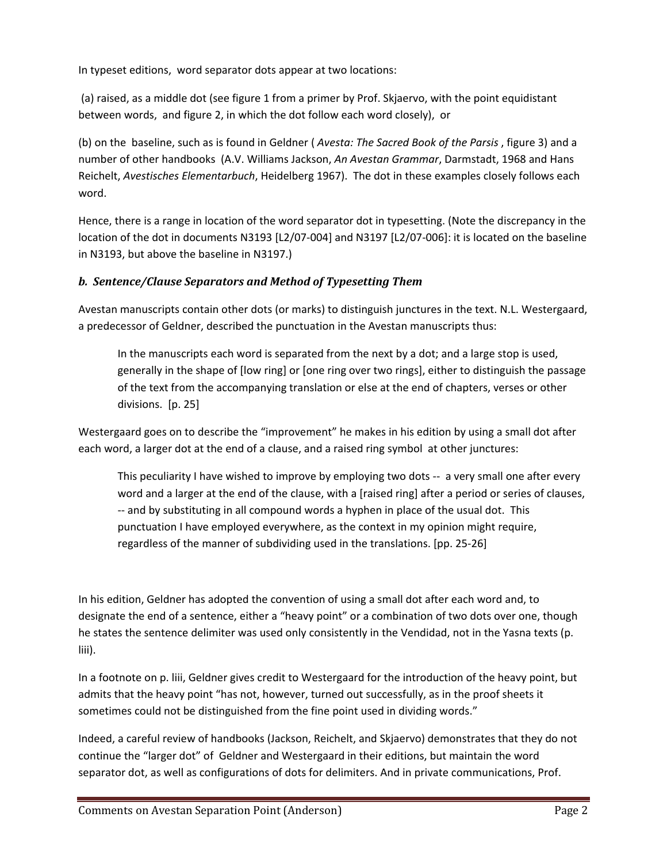In typeset editions, word separator dots appear at two locations:

(a) raised, as a middle dot (see figure 1 from a primer by Prof. Skjaervo, with the point equidistant between words, and figure 2, in which the dot follow each word closely), or

(b) on the baseline, such as is found in Geldner ( *Avesta: The Sacred Book of the Parsis* , figure 3) and a number of other handbooks (A.V. Williams Jackson, *An Avestan Grammar*, Darmstadt, 1968 and Hans Reichelt, *Avestisches Elementarbuch*, Heidelberg 1967). The dot in these examples closely follows each word.

Hence, there is a range in location of the word separator dot in typesetting. (Note the discrepancy in the location of the dot in documents N3193 [L2/07‐004] and N3197 [L2/07‐006]: it is located on the baseline in N3193, but above the baseline in N3197.)

### *b. Sentence/Clause Separators and Method of Typesetting Them*

Avestan manuscripts contain other dots (or marks) to distinguish junctures in the text. N.L. Westergaard, a predecessor of Geldner, described the punctuation in the Avestan manuscripts thus:

In the manuscripts each word is separated from the next by a dot; and a large stop is used, generally in the shape of [low ring] or [one ring over two rings], either to distinguish the passage of the text from the accompanying translation or else at the end of chapters, verses or other divisions. [p. 25]

Westergaard goes on to describe the "improvement" he makes in his edition by using a small dot after each word, a larger dot at the end of a clause, and a raised ring symbol at other junctures:

This peculiarity I have wished to improve by employing two dots -- a very small one after every word and a larger at the end of the clause, with a [raised ring] after a period or series of clauses, ‐‐ and by substituting in all compound words a hyphen in place of the usual dot. This punctuation I have employed everywhere, as the context in my opinion might require, regardless of the manner of subdividing used in the translations. [pp. 25‐26]

In his edition, Geldner has adopted the convention of using a small dot after each word and, to designate the end of a sentence, either a "heavy point" or a combination of two dots over one, though he states the sentence delimiter was used only consistently in the Vendidad, not in the Yasna texts (p. liii).

In a footnote on p. liii, Geldner gives credit to Westergaard for the introduction of the heavy point, but admits that the heavy point "has not, however, turned out successfully, as in the proof sheets it sometimes could not be distinguished from the fine point used in dividing words."

Indeed, a careful review of handbooks (Jackson, Reichelt, and Skjaervo) demonstrates that they do not continue the "larger dot" of Geldner and Westergaard in their editions, but maintain the word separator dot, as well as configurations of dots for delimiters. And in private communications, Prof.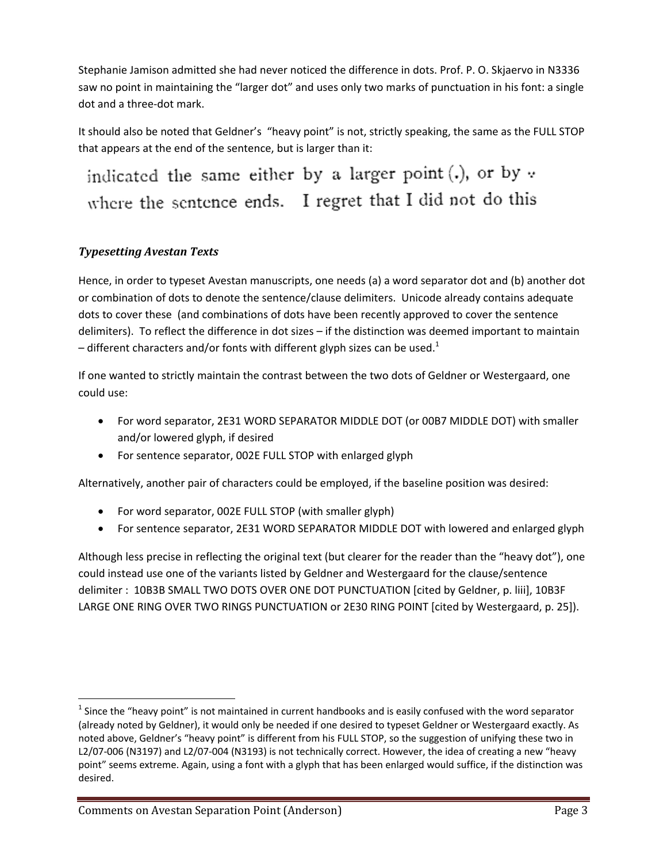Stephanie Jamison admitted she had never noticed the difference in dots. Prof. P. O. Skjaervo in N3336 saw no point in maintaining the "larger dot" and uses only two marks of punctuation in his font: a single dot and a three‐dot mark.

It should also be noted that Geldner's "heavy point" is not, strictly speaking, the same as the FULL STOP that appears at the end of the sentence, but is larger than it:

indicated the same either by a larger point (.), or by v where the sentence ends. I regret that I did not do this

## *Typesetting Avestan Texts*

Hence, in order to typeset Avestan manuscripts, one needs (a) a word separator dot and (b) another dot or combination of dots to denote the sentence/clause delimiters. Unicode already contains adequate dots to cover these (and combinations of dots have been recently approved to cover the sentence delimiters). To reflect the difference in dot sizes – if the distinction was deemed important to maintain – different characters and/or fonts with different glyph sizes can be used.<sup>1</sup>

If one wanted to strictly maintain the contrast between the two dots of Geldner or Westergaard, one could use:

- For word separator, 2E31 WORD SEPARATOR MIDDLE DOT (or 00B7 MIDDLE DOT) with smaller and/or lowered glyph, if desired
- For sentence separator, 002E FULL STOP with enlarged glyph

Alternatively, another pair of characters could be employed, if the baseline position was desired:

- For word separator, 002E FULL STOP (with smaller glyph)
- For sentence separator, 2E31 WORD SEPARATOR MIDDLE DOT with lowered and enlarged glyph

Although less precise in reflecting the original text (but clearer for the reader than the "heavy dot"), one could instead use one of the variants listed by Geldner and Westergaard for the clause/sentence delimiter : 10B3B SMALL TWO DOTS OVER ONE DOT PUNCTUATION [cited by Geldner, p. liii], 10B3F LARGE ONE RING OVER TWO RINGS PUNCTUATION or 2E30 RING POINT [cited by Westergaard, p. 25]).

 $<sup>1</sup>$  Since the "heavy point" is not maintained in current handbooks and is easily confused with the word separator</sup> (already noted by Geldner), it would only be needed if one desired to typeset Geldner or Westergaard exactly. As noted above, Geldner's "heavy point" is different from his FULL STOP, so the suggestion of unifying these two in L2/07‐006 (N3197) and L2/07‐004 (N3193) is not technically correct. However, the idea of creating a new "heavy point" seems extreme. Again, using a font with a glyph that has been enlarged would suffice, if the distinction was desired.